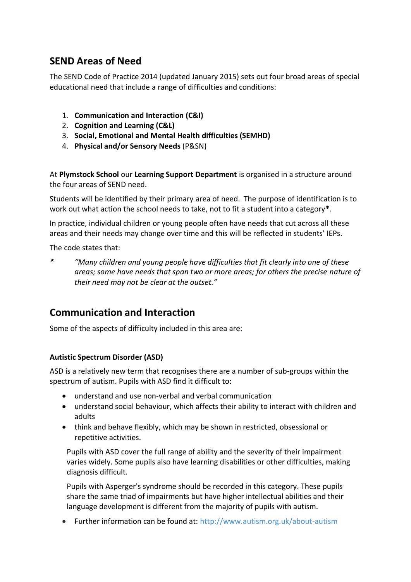# **SEND Areas of Need**

The SEND Code of Practice 2014 (updated January 2015) sets out four broad areas of special educational need that include a range of difficulties and conditions:

- 1. **Communication and Interaction (C&I)**
- 2. **Cognition and Learning (C&L)**
- 3. **Social, Emotional and Mental Health difficulties (SEMHD)**
- 4. **Physical and/or Sensory Needs** (P&SN)

At **Plymstock School** our **Learning Support Department** is organised in a structure around the four areas of SEND need.

Students will be identified by their primary area of need. The purpose of identification is to work out what action the school needs to take, not to fit a student into a category**\***.

In practice, individual children or young people often have needs that cut across all these areas and their needs may change over time and this will be reflected in students' IEPs.

The code states that:

*\* "Many children and young people have difficulties that fit clearly into one of these areas; some have needs that span two or more areas; for others the precise nature of their need may not be clear at the outset."*

## **Communication and Interaction**

Some of the aspects of difficulty included in this area are:

### **Autistic Spectrum Disorder (ASD)**

ASD is a relatively new term that recognises there are a number of sub-groups within the spectrum of autism. Pupils with ASD find it difficult to:

- understand and use non-verbal and verbal communication
- understand social behaviour, which affects their ability to interact with children and adults
- think and behave flexibly, which may be shown in restricted, obsessional or repetitive activities.

Pupils with ASD cover the full range of ability and the severity of their impairment varies widely. Some pupils also have learning disabilities or other difficulties, making diagnosis difficult.

Pupils with Asperger's syndrome should be recorded in this category. These pupils share the same triad of impairments but have higher intellectual abilities and their language development is different from the majority of pupils with autism.

• Further information can be found at:<http://www.autism.org.uk/about-autism>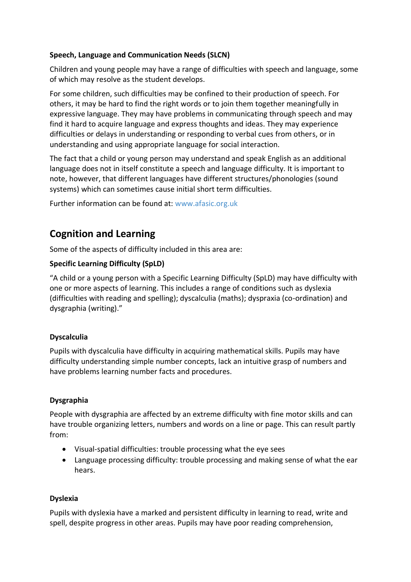### **Speech, Language and Communication Needs (SLCN)**

Children and young people may have a range of difficulties with speech and language, some of which may resolve as the student develops.

For some children, such difficulties may be confined to their production of speech. For others, it may be hard to find the right words or to join them together meaningfully in expressive language. They may have problems in communicating through speech and may find it hard to acquire language and express thoughts and ideas. They may experience difficulties or delays in understanding or responding to verbal cues from others, or in understanding and using appropriate language for social interaction.

The fact that a child or young person may understand and speak English as an additional language does not in itself constitute a speech and language difficulty. It is important to note, however, that different languages have different structures/phonologies (sound systems) which can sometimes cause initial short term difficulties.

Further information can be found at: [www.afasic.org.uk](http://www.afasic.org.uk/)

# **Cognition and Learning**

Some of the aspects of difficulty included in this area are:

### **Specific Learning Difficulty (SpLD)**

"A child or a young person with a Specific Learning Difficulty (SpLD) may have difficulty with one or more aspects of learning. This includes a range of conditions such as dyslexia (difficulties with reading and spelling); dyscalculia (maths); dyspraxia (co-ordination) and dysgraphia (writing)."

### **Dyscalculia**

Pupils with dyscalculia have difficulty in acquiring mathematical skills. Pupils may have difficulty understanding simple number concepts, lack an intuitive grasp of numbers and have problems learning number facts and procedures.

### **Dysgraphia**

People with dysgraphia are affected by an extreme difficulty with fine motor skills and can have trouble organizing letters, numbers and words on a line or page. This can result partly from:

- Visual-spatial difficulties: trouble processing what the eye sees
- Language processing difficulty: trouble processing and making sense of what the ear hears.

### **Dyslexia**

Pupils with dyslexia have a marked and persistent difficulty in learning to read, write and spell, despite progress in other areas. Pupils may have poor reading comprehension,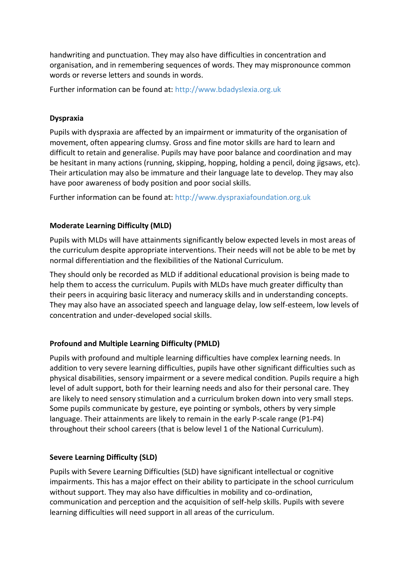handwriting and punctuation. They may also have difficulties in concentration and organisation, and in remembering sequences of words. They may mispronounce common words or reverse letters and sounds in words.

Further information can be found at: [http://www.bdadyslexia.org.uk](http://www.bdadyslexia.org.uk/)

#### **Dyspraxia**

Pupils with dyspraxia are affected by an impairment or immaturity of the organisation of movement, often appearing clumsy. Gross and fine motor skills are hard to learn and difficult to retain and generalise. Pupils may have poor balance and coordination and may be hesitant in many actions (running, skipping, hopping, holding a pencil, doing jigsaws, etc). Their articulation may also be immature and their language late to develop. They may also have poor awareness of body position and poor social skills.

Further information can be found at: [http://www.dyspraxiafoundation.org.uk](http://www.dyspraxiafoundation.org.uk/)

### **Moderate Learning Difficulty (MLD)**

Pupils with MLDs will have attainments significantly below expected levels in most areas of the curriculum despite appropriate interventions. Their needs will not be able to be met by normal differentiation and the flexibilities of the National Curriculum.

They should only be recorded as MLD if additional educational provision is being made to help them to access the curriculum. Pupils with MLDs have much greater difficulty than their peers in acquiring basic literacy and numeracy skills and in understanding concepts. They may also have an associated speech and language delay, low self-esteem, low levels of concentration and under-developed social skills.

### **Profound and Multiple Learning Difficulty (PMLD)**

Pupils with profound and multiple learning difficulties have complex learning needs. In addition to very severe learning difficulties, pupils have other significant difficulties such as physical disabilities, sensory impairment or a severe medical condition. Pupils require a high level of adult support, both for their learning needs and also for their personal care. They are likely to need sensory stimulation and a curriculum broken down into very small steps. Some pupils communicate by gesture, eye pointing or symbols, others by very simple language. Their attainments are likely to remain in the early P-scale range (P1-P4) throughout their school careers (that is below level 1 of the National Curriculum).

### **Severe Learning Difficulty (SLD)**

Pupils with Severe Learning Difficulties (SLD) have significant intellectual or cognitive impairments. This has a major effect on their ability to participate in the school curriculum without support. They may also have difficulties in mobility and co-ordination, communication and perception and the acquisition of self-help skills. Pupils with severe learning difficulties will need support in all areas of the curriculum.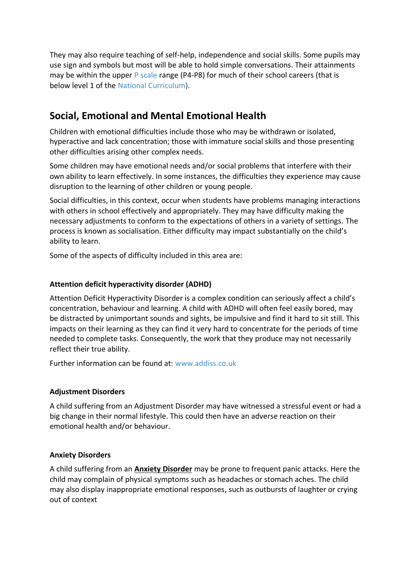They may also require teaching of self-help, independence and social skills. Some pupils may use sign and symbols but most will be able to hold simple conversations. Their attainments may be within the upper  $P$  scale range (P4-P8) for much of their school careers (that is below level 1 of the [National Curriculum\)](http://www.specialeducationalneeds.co.uk/national-curriculum.html).

# **Social, Emotional and Mental Emotional Health**

Children with emotional difficulties include those who may be withdrawn or isolated, hyperactive and lack concentration; those with immature social skills and those presenting other difficulties arising other complex needs.

Some children may have emotional needs and/or social problems that interfere with their own ability to learn effectively. In some instances, the difficulties they experience may cause disruption to the learning of other children or young people.

Social difficulties, in this context, occur when students have problems managing interactions with others in school effectively and appropriately. They may have difficulty making the necessary adjustments to conform to the expectations of others in a variety of settings. The process is known as socialisation. Either difficulty may impact substantially on the child's ability to learn.

Some of the aspects of difficulty included in this area are:

### **Attention deficit hyperactivity disorder (ADHD)**

Attention Deficit Hyperactivity Disorder is a complex condition can seriously affect a child's concentration, behaviour and learning. A child with ADHD will often feel easily bored, may be distracted by unimportant sounds and sights, be impulsive and find it hard to sit still. This impacts on their learning as they can find it very hard to concentrate for the periods of time needed to complete tasks. Consequently, the work that they produce may not necessarily reflect their true ability.

Further information can be found at: [www.addiss.co.uk](http://www.addiss.co.uk/)

### **Adjustment Disorders**

A child suffering from an Adjustment Disorder may have witnessed a stressful event or had a big change in their normal lifestyle. This could then have an adverse reaction on their emotional health and/or behaviour.

### **Anxiety Disorders**

A child suffering from an **[Anxiety Disorder](http://www.specialeducationalneeds.co.uk/anxiety-disorders.html)** may be prone to frequent panic attacks. Here the child may complain of physical symptoms such as headaches or stomach aches. The child may also display inappropriate emotional responses, such as outbursts of laughter or crying out of context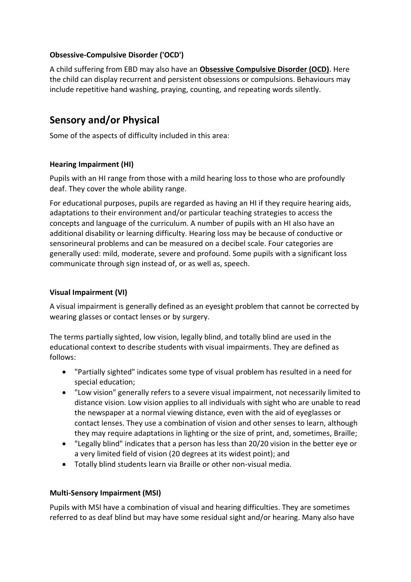### **Obsessive-Compulsive Disorder ('OCD')**

A child suffering from EBD may also have an **[Obsessive Compulsive Disorder \(OCD\)](http://www.specialeducationalneeds.co.uk/obsessive-compulsive-disorder-ocd.html)**. Here the child can display recurrent and persistent obsessions or compulsions. Behaviours may include repetitive hand washing, praying, counting, and repeating words silently.

## **Sensory and/or Physical**

Some of the aspects of difficulty included in this area:

### **Hearing Impairment (HI)**

Pupils with an HI range from those with a mild hearing loss to those who are profoundly deaf. They cover the whole ability range.

For educational purposes, pupils are regarded as having an HI if they require hearing aids, adaptations to their environment and/or particular teaching strategies to access the concepts and language of the curriculum. A number of pupils with an HI also have an additional disability or learning difficulty. Hearing loss may be because of conductive or sensorineural problems and can be measured on a decibel scale. Four categories are generally used: mild, moderate, severe and profound. Some pupils with a significant loss communicate through sign instead of, or as well as, speech.

### **Visual Impairment (VI)**

A visual impairment is generally defined as an eyesight problem that cannot be corrected by wearing glasses or contact lenses or by surgery.

The terms partially sighted, low vision, legally blind, and totally blind are used in the educational context to describe students with visual impairments. They are defined as follows:

- "Partially sighted" indicates some type of visual problem has resulted in a need for special education;
- "Low vision" generally refers to a severe visual impairment, not necessarily limited to distance vision. Low vision applies to all individuals with sight who are unable to read the newspaper at a normal viewing distance, even with the aid of eyeglasses or contact lenses. They use a combination of vision and other senses to learn, although they may require adaptations in lighting or the size of print, and, sometimes, Braille;
- "Legally blind" indicates that a person has less than 20/20 vision in the better eye or a very limited field of vision (20 degrees at its widest point); and
- Totally blind students learn via Braille or other non-visual media.

### **Multi-Sensory Impairment (MSI)**

Pupils with MSI have a combination of visual and hearing difficulties. They are sometimes referred to as deaf blind but may have some residual sight and/or hearing. Many also have